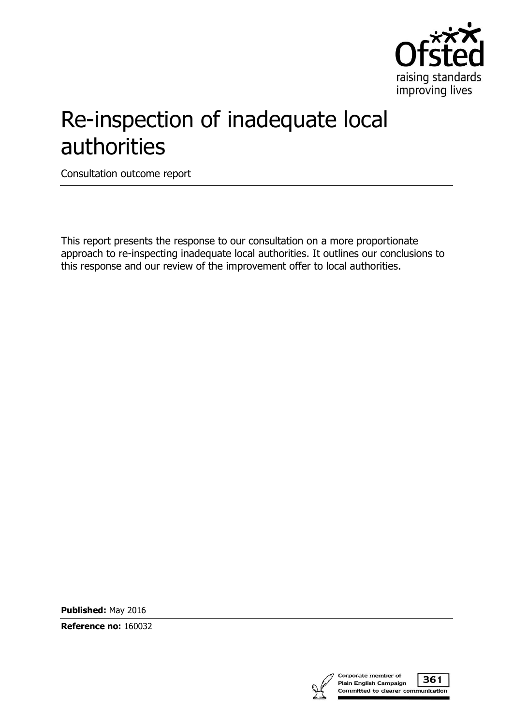

# Re-inspection of inadequate local authorities

Consultation outcome report

This report presents the response to our consultation on a more proportionate approach to re-inspecting inadequate local authorities. It outlines our conclusions to this response and our review of the improvement offer to local authorities.

**Published:** May 2016

**Reference no:** 160032

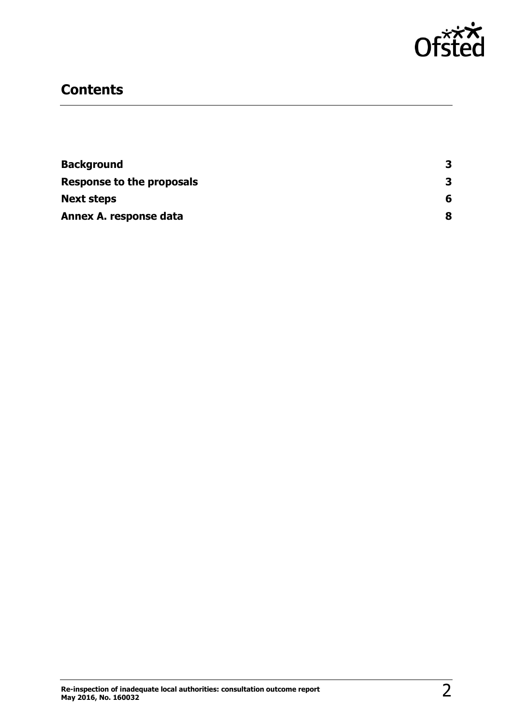

## **Contents**

| <b>Background</b>         | 3 |
|---------------------------|---|
| Response to the proposals | 3 |
| <b>Next steps</b>         | 6 |
| Annex A. response data    | 8 |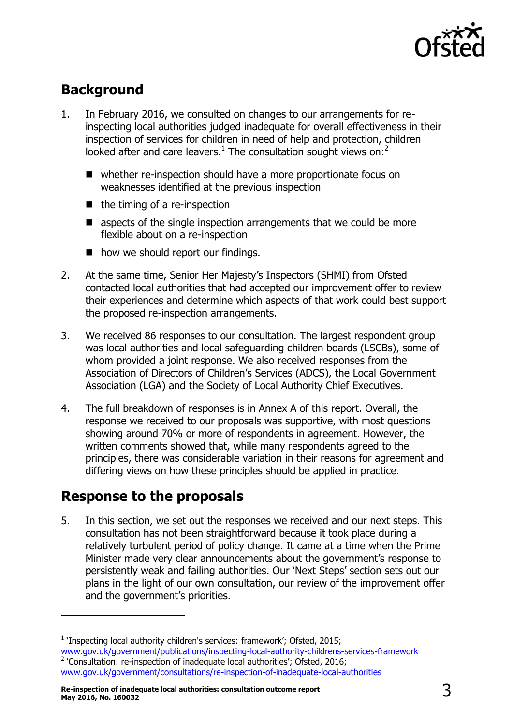

# <span id="page-2-0"></span>**Background**

- 1. In February 2016, we consulted on changes to our arrangements for reinspecting local authorities judged inadequate for overall effectiveness in their inspection of services for children in need of help and protection, children looked after and care leavers.<sup>1</sup> The consultation sought views on:<sup>2</sup>
	- whether re-inspection should have a more proportionate focus on weaknesses identified at the previous inspection
	- $\blacksquare$  the timing of a re-inspection
	- aspects of the single inspection arrangements that we could be more flexible about on a re-inspection
	- how we should report our findings.
- 2. At the same time, Senior Her Majesty's Inspectors (SHMI) from Ofsted contacted local authorities that had accepted our improvement offer to review their experiences and determine which aspects of that work could best support the proposed re-inspection arrangements.
- 3. We received 86 responses to our consultation. The largest respondent group was local authorities and local safeguarding children boards (LSCBs), some of whom provided a joint response. We also received responses from the Association of Directors of Children's Services (ADCS), the Local Government Association (LGA) and the Society of Local Authority Chief Executives.
- 4. The full breakdown of responses is in Annex A of this report. Overall, the response we received to our proposals was supportive, with most questions showing around 70% or more of respondents in agreement. However, the written comments showed that, while many respondents agreed to the principles, there was considerable variation in their reasons for agreement and differing views on how these principles should be applied in practice.

# <span id="page-2-1"></span>**Response to the proposals**

 $\overline{a}$ 

5. In this section, we set out the responses we received and our next steps. This consultation has not been straightforward because it took place during a relatively turbulent period of policy change. It came at a time when the Prime Minister made very clear announcements about the government's response to persistently weak and failing authorities. Our 'Next Steps' section sets out our plans in the light of our own consultation, our review of the improvement offer and the government's priorities.

<sup>&</sup>lt;sup>1</sup> 'Inspecting local authority children's services: framework'; Ofsted, 2015; [www.gov.uk/government/publications/inspecting-local-authority-childrens-services-framework](http://www.gov.uk/government/publications/inspecting-local-authority-childrens-services-framework)  $2$  'Consultation: re-inspection of inadequate local authorities'; Ofsted, 2016; [www.gov.uk/government/consultations/re-inspection-of-inadequate-local-authorities](http://www.gov.uk/government/consultations/re-inspection-of-inadequate-local-authorities)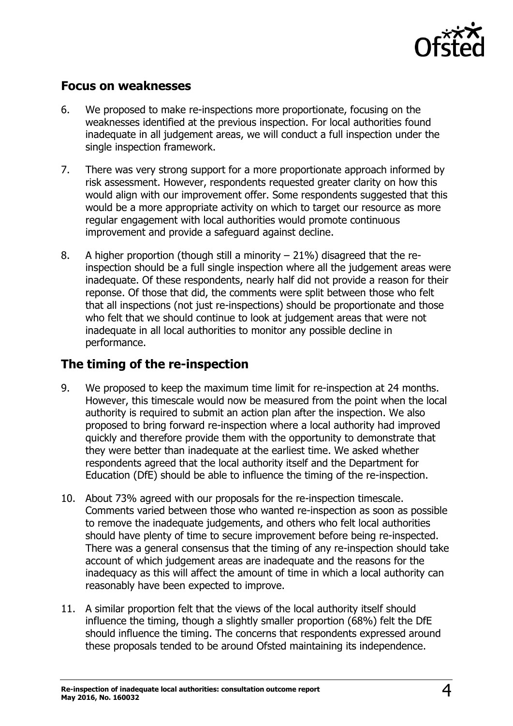

## **Focus on weaknesses**

- 6. We proposed to make re-inspections more proportionate, focusing on the weaknesses identified at the previous inspection. For local authorities found inadequate in all judgement areas, we will conduct a full inspection under the single inspection framework.
- 7. There was very strong support for a more proportionate approach informed by risk assessment. However, respondents requested greater clarity on how this would align with our improvement offer. Some respondents suggested that this would be a more appropriate activity on which to target our resource as more regular engagement with local authorities would promote continuous improvement and provide a safeguard against decline.
- 8. A higher proportion (though still a minority 21%) disagreed that the reinspection should be a full single inspection where all the judgement areas were inadequate. Of these respondents, nearly half did not provide a reason for their reponse. Of those that did, the comments were split between those who felt that all inspections (not just re-inspections) should be proportionate and those who felt that we should continue to look at judgement areas that were not inadequate in all local authorities to monitor any possible decline in performance.

## **The timing of the re-inspection**

- 9. We proposed to keep the maximum time limit for re-inspection at 24 months. However, this timescale would now be measured from the point when the local authority is required to submit an action plan after the inspection. We also proposed to bring forward re-inspection where a local authority had improved quickly and therefore provide them with the opportunity to demonstrate that they were better than inadequate at the earliest time. We asked whether respondents agreed that the local authority itself and the Department for Education (DfE) should be able to influence the timing of the re-inspection.
- 10. About 73% agreed with our proposals for the re-inspection timescale. Comments varied between those who wanted re-inspection as soon as possible to remove the inadequate judgements, and others who felt local authorities should have plenty of time to secure improvement before being re-inspected. There was a general consensus that the timing of any re-inspection should take account of which judgement areas are inadequate and the reasons for the inadequacy as this will affect the amount of time in which a local authority can reasonably have been expected to improve.
- 11. A similar proportion felt that the views of the local authority itself should influence the timing, though a slightly smaller proportion (68%) felt the DfE should influence the timing. The concerns that respondents expressed around these proposals tended to be around Ofsted maintaining its independence.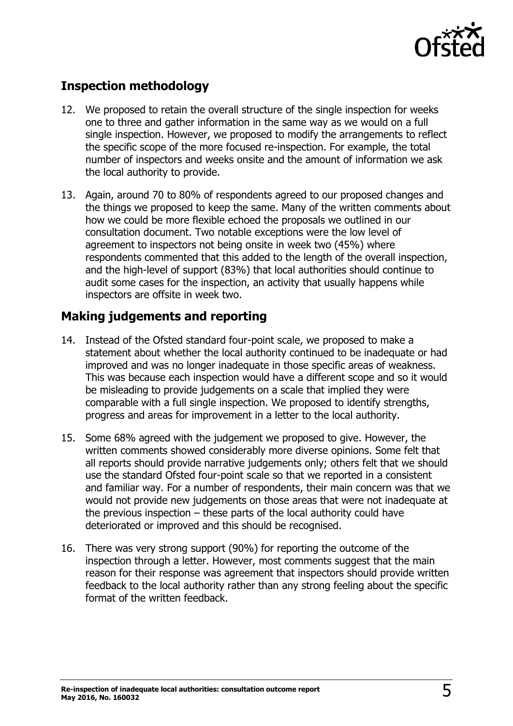

## **Inspection methodology**

- 12. We proposed to retain the overall structure of the single inspection for weeks one to three and gather information in the same way as we would on a full single inspection. However, we proposed to modify the arrangements to reflect the specific scope of the more focused re-inspection. For example, the total number of inspectors and weeks onsite and the amount of information we ask the local authority to provide.
- 13. Again, around 70 to 80% of respondents agreed to our proposed changes and the things we proposed to keep the same. Many of the written comments about how we could be more flexible echoed the proposals we outlined in our consultation document. Two notable exceptions were the low level of agreement to inspectors not being onsite in week two (45%) where respondents commented that this added to the length of the overall inspection, and the high-level of support (83%) that local authorities should continue to audit some cases for the inspection, an activity that usually happens while inspectors are offsite in week two.

## **Making judgements and reporting**

- 14. Instead of the Ofsted standard four-point scale, we proposed to make a statement about whether the local authority continued to be inadequate or had improved and was no longer inadequate in those specific areas of weakness. This was because each inspection would have a different scope and so it would be misleading to provide judgements on a scale that implied they were comparable with a full single inspection. We proposed to identify strengths, progress and areas for improvement in a letter to the local authority.
- 15. Some 68% agreed with the judgement we proposed to give. However, the written comments showed considerably more diverse opinions. Some felt that all reports should provide narrative judgements only; others felt that we should use the standard Ofsted four-point scale so that we reported in a consistent and familiar way. For a number of respondents, their main concern was that we would not provide new judgements on those areas that were not inadequate at the previous inspection – these parts of the local authority could have deteriorated or improved and this should be recognised.
- <span id="page-4-0"></span>16. There was very strong support (90%) for reporting the outcome of the inspection through a letter. However, most comments suggest that the main reason for their response was agreement that inspectors should provide written feedback to the local authority rather than any strong feeling about the specific format of the written feedback.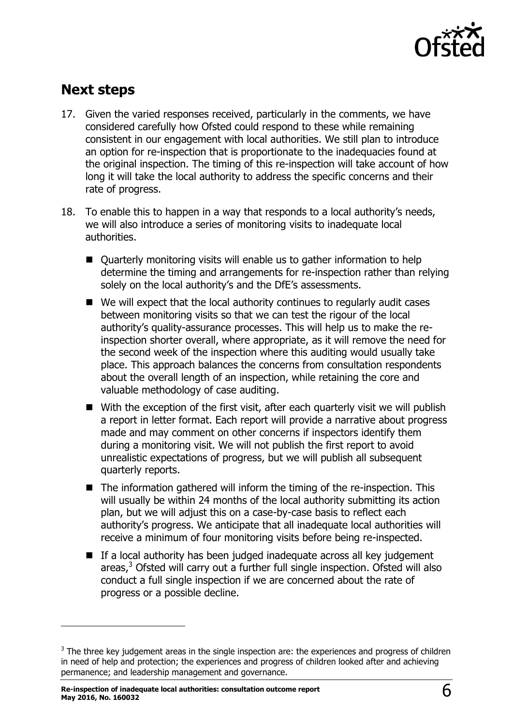

# **Next steps**

- 17. Given the varied responses received, particularly in the comments, we have considered carefully how Ofsted could respond to these while remaining consistent in our engagement with local authorities. We still plan to introduce an option for re-inspection that is proportionate to the inadequacies found at the original inspection. The timing of this re-inspection will take account of how long it will take the local authority to address the specific concerns and their rate of progress.
- 18. To enable this to happen in a way that responds to a local authority's needs, we will also introduce a series of monitoring visits to inadequate local authorities.
	- Quarterly monitoring visits will enable us to gather information to help determine the timing and arrangements for re-inspection rather than relying solely on the local authority's and the DfE's assessments.
	- $\blacksquare$  We will expect that the local authority continues to regularly audit cases between monitoring visits so that we can test the rigour of the local authority's quality-assurance processes. This will help us to make the reinspection shorter overall, where appropriate, as it will remove the need for the second week of the inspection where this auditing would usually take place. This approach balances the concerns from consultation respondents about the overall length of an inspection, while retaining the core and valuable methodology of case auditing.
	- $\blacksquare$  With the exception of the first visit, after each quarterly visit we will publish a report in letter format. Each report will provide a narrative about progress made and may comment on other concerns if inspectors identify them during a monitoring visit. We will not publish the first report to avoid unrealistic expectations of progress, but we will publish all subsequent quarterly reports.
	- The information gathered will inform the timing of the re-inspection. This will usually be within 24 months of the local authority submitting its action plan, but we will adjust this on a case-by-case basis to reflect each authority's progress. We anticipate that all inadequate local authorities will receive a minimum of four monitoring visits before being re-inspected.
	- $\blacksquare$  If a local authority has been judged inadequate across all key judgement areas, $3$  Ofsted will carry out a further full single inspection. Ofsted will also conduct a full single inspection if we are concerned about the rate of progress or a possible decline.

 $\overline{a}$ 

 $3$  The three key judgement areas in the single inspection are: the experiences and progress of children in need of help and protection; the experiences and progress of children looked after and achieving permanence; and leadership management and governance.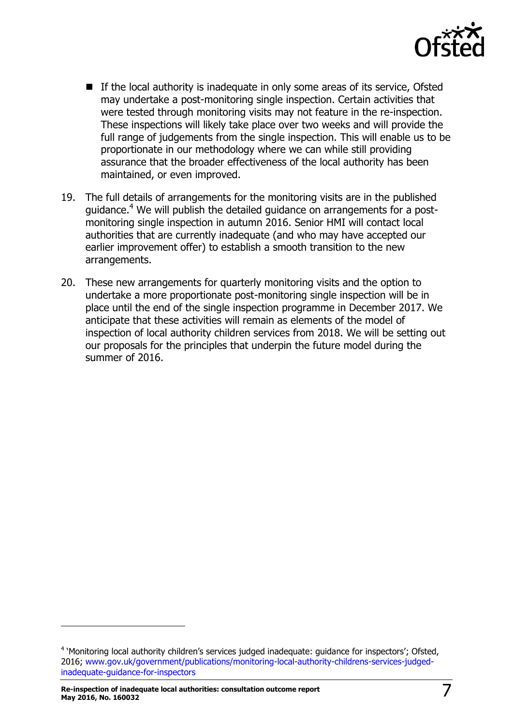

- $\blacksquare$  If the local authority is inadequate in only some areas of its service, Ofsted may undertake a post-monitoring single inspection. Certain activities that were tested through monitoring visits may not feature in the re-inspection. These inspections will likely take place over two weeks and will provide the full range of judgements from the single inspection. This will enable us to be proportionate in our methodology where we can while still providing assurance that the broader effectiveness of the local authority has been maintained, or even improved.
- 19. The full details of arrangements for the monitoring visits are in the published guidance.<sup>4</sup> We will publish the detailed guidance on arrangements for a postmonitoring single inspection in autumn 2016. Senior HMI will contact local authorities that are currently inadequate (and who may have accepted our earlier improvement offer) to establish a smooth transition to the new arrangements.
- 20. These new arrangements for quarterly monitoring visits and the option to undertake a more proportionate post-monitoring single inspection will be in place until the end of the single inspection programme in December 2017. We anticipate that these activities will remain as elements of the model of inspection of local authority children services from 2018. We will be setting out our proposals for the principles that underpin the future model during the summer of 2016.

 $\overline{a}$ 

<sup>&</sup>lt;sup>4</sup> 'Monitoring local authority children's services judged inadequate: guidance for inspectors'; Ofsted, 2016; [www.gov.uk/government/publications/monitoring-local-authority-childrens-services-judged](http://www.gov.uk/government/publications/monitoring-local-authority-childrens-services-judged-inadequate-guidance-for-inspectors)[inadequate-guidance-for-inspectors](http://www.gov.uk/government/publications/monitoring-local-authority-childrens-services-judged-inadequate-guidance-for-inspectors)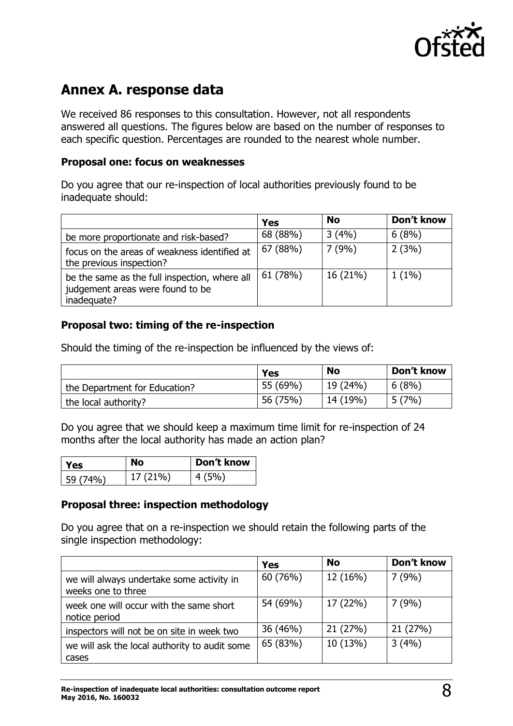

# <span id="page-7-0"></span>**Annex A. response data**

We received 86 responses to this consultation. However, not all respondents answered all questions. The figures below are based on the number of responses to each specific question. Percentages are rounded to the nearest whole number.

#### **Proposal one: focus on weaknesses**

Do you agree that our re-inspection of local authorities previously found to be inadequate should:

|                                                                                                  | Yes      | <b>No</b> | Don't know |
|--------------------------------------------------------------------------------------------------|----------|-----------|------------|
| be more proportionate and risk-based?                                                            | 68 (88%) | 3(4%)     | 6(8%)      |
| focus on the areas of weakness identified at<br>the previous inspection?                         | 67 (88%) | 7(9%)     | 2(3%)      |
| be the same as the full inspection, where all<br>judgement areas were found to be<br>inadequate? | 61 (78%) | 16 (21%)  | $1(1\%)$   |

#### **Proposal two: timing of the re-inspection**

Should the timing of the re-inspection be influenced by the views of:

|                               | <b>Yes</b> | <b>No</b> | Don't know |
|-------------------------------|------------|-----------|------------|
| the Department for Education? | 55 (69%)   | 19(24%)   | 6(8%)      |
| the local authority?          | 56 (75%)   | 14 (19%)  | 5(7%)      |

Do you agree that we should keep a maximum time limit for re-inspection of 24 months after the local authority has made an action plan?

| l Yes    | No       | Don't know |
|----------|----------|------------|
| 59 (74%) | 17 (21%) | 4(5%)      |

#### **Proposal three: inspection methodology**

Do you agree that on a re-inspection we should retain the following parts of the single inspection methodology:

|                                                                 | <b>Yes</b> | <b>No</b> | Don't know |
|-----------------------------------------------------------------|------------|-----------|------------|
| we will always undertake some activity in<br>weeks one to three | 60 (76%)   | 12 (16%)  | 7(9%)      |
| week one will occur with the same short<br>notice period        | 54 (69%)   | 17 (22%)  | 7(9%)      |
| inspectors will not be on site in week two                      | 36 (46%)   | 21 (27%)  | 21 (27%)   |
| we will ask the local authority to audit some<br>cases          | 65 (83%)   | 10 (13%)  | 3(4%)      |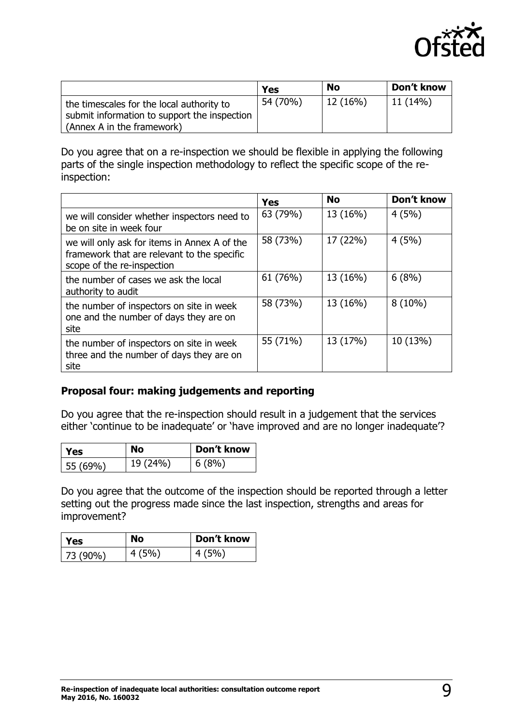

|                                                                                           | Yes      | <b>No</b> | Don't know |
|-------------------------------------------------------------------------------------------|----------|-----------|------------|
| the timescales for the local authority to<br>submit information to support the inspection | 54 (70%) | 12(16%)   | 11(14%)    |
| (Annex A in the framework)                                                                |          |           |            |

Do you agree that on a re-inspection we should be flexible in applying the following parts of the single inspection methodology to reflect the specific scope of the reinspection:

|                                                                                                                           | <b>Yes</b> | <b>No</b> | Don't know |
|---------------------------------------------------------------------------------------------------------------------------|------------|-----------|------------|
| we will consider whether inspectors need to<br>be on site in week four                                                    | 63 (79%)   | 13 (16%)  | 4(5%)      |
| we will only ask for items in Annex A of the<br>framework that are relevant to the specific<br>scope of the re-inspection | 58 (73%)   | 17 (22%)  | 4(5%)      |
| the number of cases we ask the local<br>authority to audit                                                                | 61 (76%)   | 13 (16%)  | 6(8%)      |
| the number of inspectors on site in week<br>one and the number of days they are on<br>site                                | 58 (73%)   | 13 (16%)  | $8(10\%)$  |
| the number of inspectors on site in week<br>three and the number of days they are on<br>site                              | 55 (71%)   | 13 (17%)  | 10 (13%)   |

#### **Proposal four: making judgements and reporting**

Do you agree that the re-inspection should result in a judgement that the services either 'continue to be inadequate' or 'have improved and are no longer inadequate'?

| <b>Yes</b> | No       | Don't know |
|------------|----------|------------|
| 55 (69%)   | 19 (24%) | 6(8%)      |

Do you agree that the outcome of the inspection should be reported through a letter setting out the progress made since the last inspection, strengths and areas for improvement?

| l Yes       | <b>No</b> | Don't know |
|-------------|-----------|------------|
| $ 73(90\%)$ | 4(5%)     | 4(5%)      |